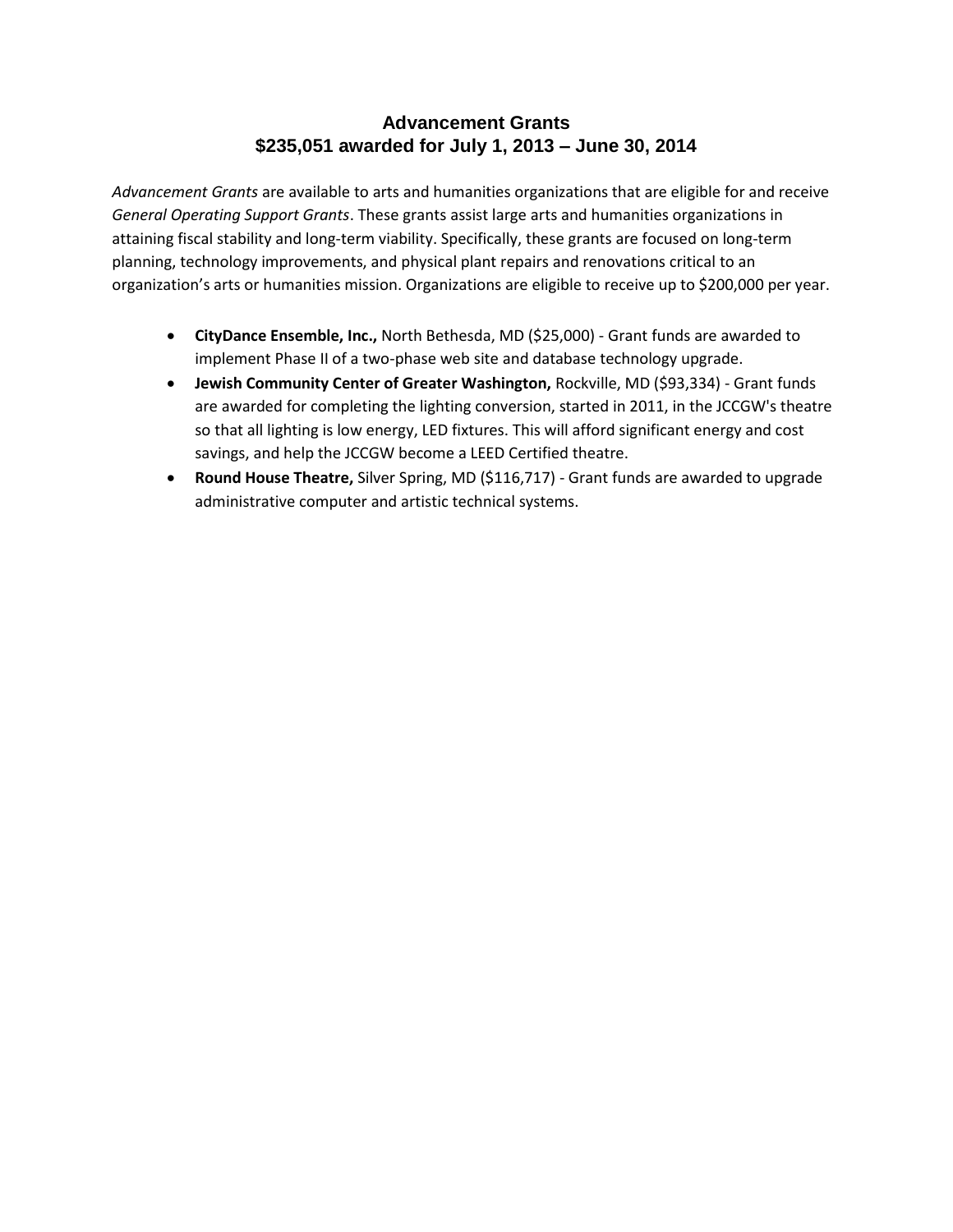## **Advancement Grants \$235,051 awarded for July 1, 2013 – June 30, 2014**

*Advancement Grants* are available to arts and humanities organizations that are eligible for and receive *General Operating Support Grants*. These grants assist large arts and humanities organizations in attaining fiscal stability and long-term viability. Specifically, these grants are focused on long-term planning, technology improvements, and physical plant repairs and renovations critical to an organization's arts or humanities mission. Organizations are eligible to receive up to \$200,000 per year.

- **CityDance Ensemble, Inc.,** North Bethesda, MD (\$25,000) Grant funds are awarded to implement Phase II of a two-phase web site and database technology upgrade.
- **Jewish Community Center of Greater Washington,** Rockville, MD (\$93,334) Grant funds are awarded for completing the lighting conversion, started in 2011, in the JCCGW's theatre so that all lighting is low energy, LED fixtures. This will afford significant energy and cost savings, and help the JCCGW become a LEED Certified theatre.
- **Round House Theatre,** Silver Spring, MD (\$116,717) Grant funds are awarded to upgrade administrative computer and artistic technical systems.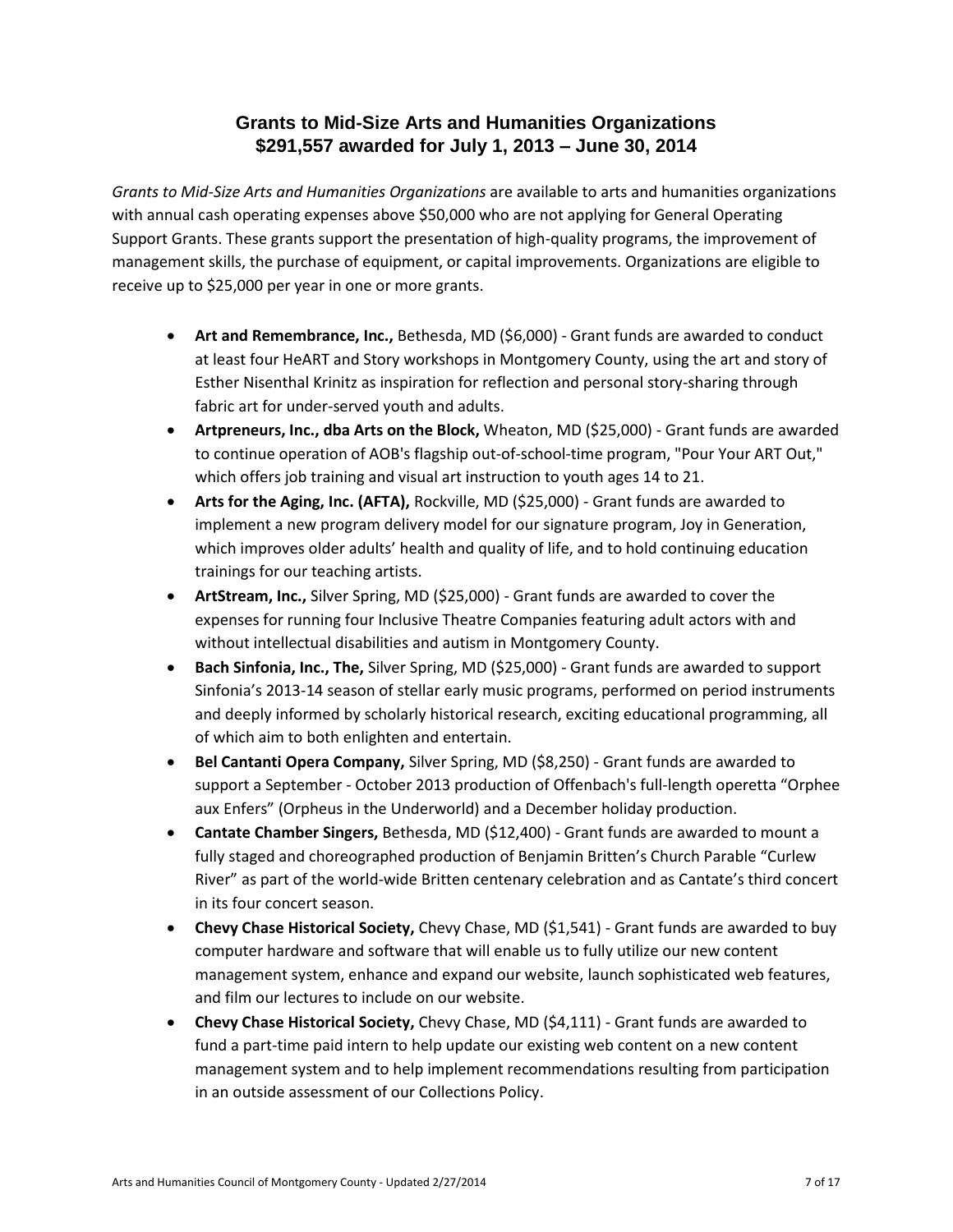## **Grants to Mid-Size Arts and Humanities Organizations \$291,557 awarded for July 1, 2013 – June 30, 2014**

*Grants to Mid-Size Arts and Humanities Organizations* are available to arts and humanities organizations with annual cash operating expenses above \$50,000 who are not applying for General Operating Support Grants. These grants support the presentation of high-quality programs, the improvement of management skills, the purchase of equipment, or capital improvements. Organizations are eligible to receive up to \$25,000 per year in one or more grants.

- **Art and Remembrance, Inc.,** Bethesda, MD (\$6,000) Grant funds are awarded to conduct at least four HeART and Story workshops in Montgomery County, using the art and story of Esther Nisenthal Krinitz as inspiration for reflection and personal story-sharing through fabric art for under-served youth and adults.
- **Artpreneurs, Inc., dba Arts on the Block,** Wheaton, MD (\$25,000) Grant funds are awarded to continue operation of AOB's flagship out-of-school-time program, "Pour Your ART Out," which offers job training and visual art instruction to youth ages 14 to 21.
- **Arts for the Aging, Inc. (AFTA),** Rockville, MD (\$25,000) Grant funds are awarded to implement a new program delivery model for our signature program, Joy in Generation, which improves older adults' health and quality of life, and to hold continuing education trainings for our teaching artists.
- **ArtStream, Inc.,** Silver Spring, MD (\$25,000) Grant funds are awarded to cover the expenses for running four Inclusive Theatre Companies featuring adult actors with and without intellectual disabilities and autism in Montgomery County.
- **Bach Sinfonia, Inc., The,** Silver Spring, MD (\$25,000) Grant funds are awarded to support Sinfonia's 2013-14 season of stellar early music programs, performed on period instruments and deeply informed by scholarly historical research, exciting educational programming, all of which aim to both enlighten and entertain.
- **Bel Cantanti Opera Company,** Silver Spring, MD (\$8,250) Grant funds are awarded to support a September - October 2013 production of Offenbach's full-length operetta "Orphee aux Enfers" (Orpheus in the Underworld) and a December holiday production.
- **Cantate Chamber Singers,** Bethesda, MD (\$12,400) Grant funds are awarded to mount a fully staged and choreographed production of Benjamin Britten's Church Parable "Curlew River" as part of the world-wide Britten centenary celebration and as Cantate's third concert in its four concert season.
- **Chevy Chase Historical Society,** Chevy Chase, MD (\$1,541) Grant funds are awarded to buy computer hardware and software that will enable us to fully utilize our new content management system, enhance and expand our website, launch sophisticated web features, and film our lectures to include on our website.
- **Chevy Chase Historical Society,** Chevy Chase, MD (\$4,111) Grant funds are awarded to fund a part-time paid intern to help update our existing web content on a new content management system and to help implement recommendations resulting from participation in an outside assessment of our Collections Policy.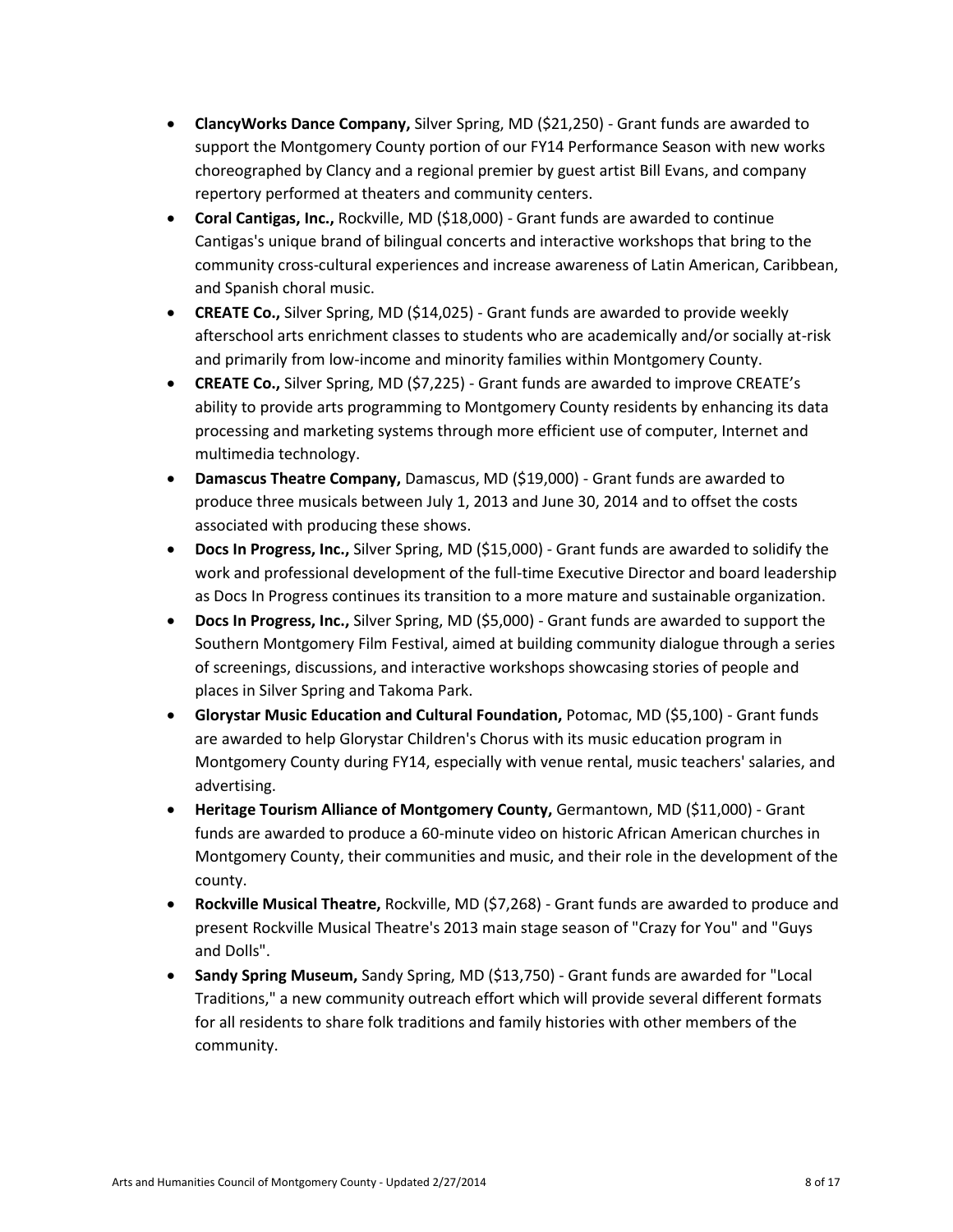- **ClancyWorks Dance Company,** Silver Spring, MD (\$21,250) Grant funds are awarded to support the Montgomery County portion of our FY14 Performance Season with new works choreographed by Clancy and a regional premier by guest artist Bill Evans, and company repertory performed at theaters and community centers.
- **Coral Cantigas, Inc.,** Rockville, MD (\$18,000) Grant funds are awarded to continue Cantigas's unique brand of bilingual concerts and interactive workshops that bring to the community cross-cultural experiences and increase awareness of Latin American, Caribbean, and Spanish choral music.
- **CREATE Co.,** Silver Spring, MD (\$14,025) Grant funds are awarded to provide weekly afterschool arts enrichment classes to students who are academically and/or socially at-risk and primarily from low-income and minority families within Montgomery County.
- **CREATE Co.,** Silver Spring, MD (\$7,225) Grant funds are awarded to improve CREATE's ability to provide arts programming to Montgomery County residents by enhancing its data processing and marketing systems through more efficient use of computer, Internet and multimedia technology.
- **Damascus Theatre Company,** Damascus, MD (\$19,000) Grant funds are awarded to produce three musicals between July 1, 2013 and June 30, 2014 and to offset the costs associated with producing these shows.
- **Docs In Progress, Inc.,** Silver Spring, MD (\$15,000) Grant funds are awarded to solidify the work and professional development of the full-time Executive Director and board leadership as Docs In Progress continues its transition to a more mature and sustainable organization.
- **Docs In Progress, Inc.,** Silver Spring, MD (\$5,000) Grant funds are awarded to support the Southern Montgomery Film Festival, aimed at building community dialogue through a series of screenings, discussions, and interactive workshops showcasing stories of people and places in Silver Spring and Takoma Park.
- **Glorystar Music Education and Cultural Foundation,** Potomac, MD (\$5,100) Grant funds are awarded to help Glorystar Children's Chorus with its music education program in Montgomery County during FY14, especially with venue rental, music teachers' salaries, and advertising.
- **Heritage Tourism Alliance of Montgomery County, Germantown, MD (\$11,000) Grant** funds are awarded to produce a 60-minute video on historic African American churches in Montgomery County, their communities and music, and their role in the development of the county.
- **Rockville Musical Theatre,** Rockville, MD (\$7,268) Grant funds are awarded to produce and present Rockville Musical Theatre's 2013 main stage season of "Crazy for You" and "Guys and Dolls".
- **Sandy Spring Museum,** Sandy Spring, MD (\$13,750) Grant funds are awarded for "Local Traditions," a new community outreach effort which will provide several different formats for all residents to share folk traditions and family histories with other members of the community.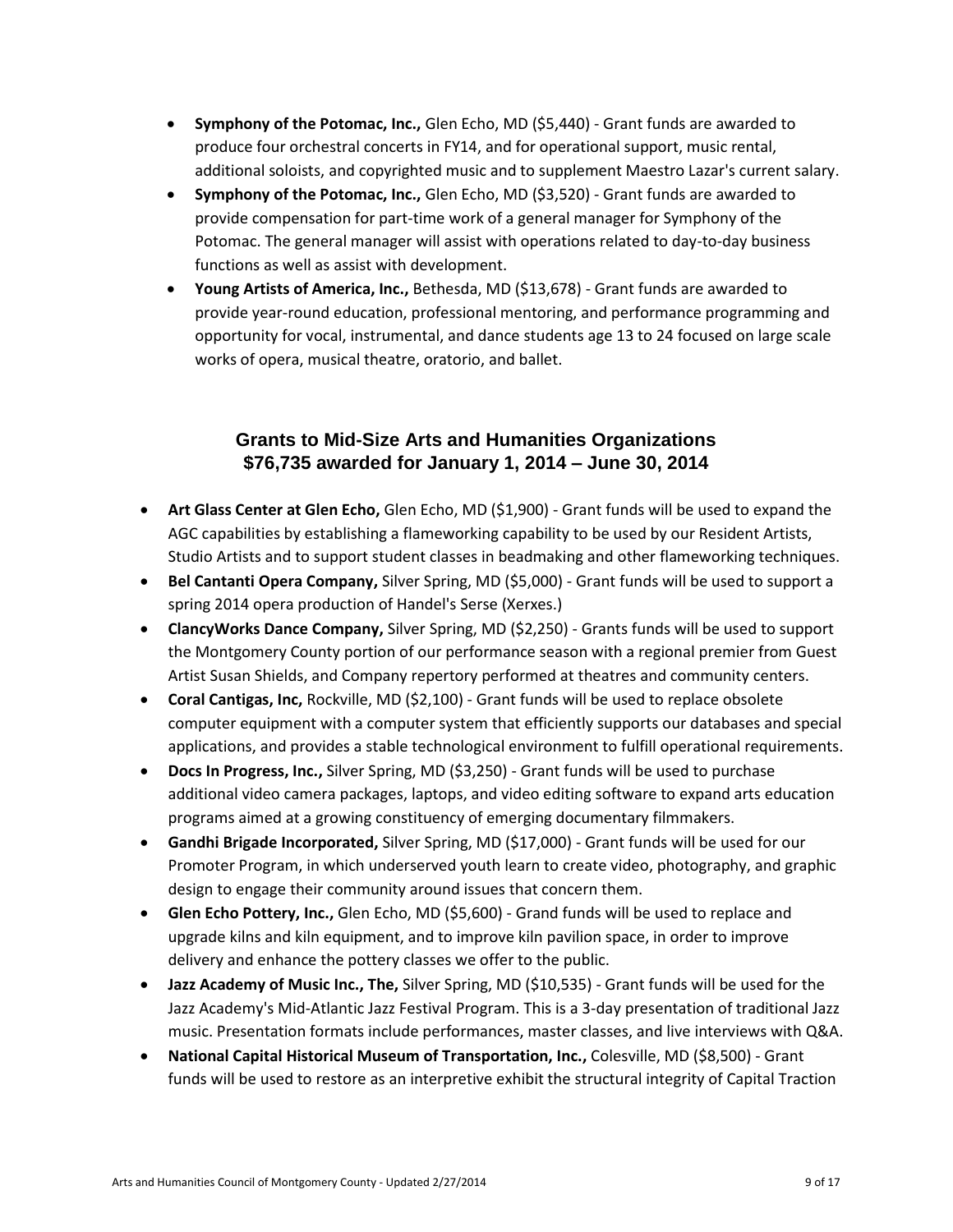- **Symphony of the Potomac, Inc.,** Glen Echo, MD (\$5,440) Grant funds are awarded to produce four orchestral concerts in FY14, and for operational support, music rental, additional soloists, and copyrighted music and to supplement Maestro Lazar's current salary.
- **Symphony of the Potomac, Inc.,** Glen Echo, MD (\$3,520) Grant funds are awarded to provide compensation for part-time work of a general manager for Symphony of the Potomac. The general manager will assist with operations related to day-to-day business functions as well as assist with development.
- **Young Artists of America, Inc.,** Bethesda, MD (\$13,678) Grant funds are awarded to provide year-round education, professional mentoring, and performance programming and opportunity for vocal, instrumental, and dance students age 13 to 24 focused on large scale works of opera, musical theatre, oratorio, and ballet.

#### **Grants to Mid-Size Arts and Humanities Organizations \$76,735 awarded for January 1, 2014 – June 30, 2014**

- **Art Glass Center at Glen Echo,** Glen Echo, MD (\$1,900) Grant funds will be used to expand the AGC capabilities by establishing a flameworking capability to be used by our Resident Artists, Studio Artists and to support student classes in beadmaking and other flameworking techniques.
- **Bel Cantanti Opera Company,** Silver Spring, MD (\$5,000) Grant funds will be used to support a spring 2014 opera production of Handel's Serse (Xerxes.)
- **ClancyWorks Dance Company,** Silver Spring, MD (\$2,250) Grants funds will be used to support the Montgomery County portion of our performance season with a regional premier from Guest Artist Susan Shields, and Company repertory performed at theatres and community centers.
- **Coral Cantigas, Inc,** Rockville, MD (\$2,100) Grant funds will be used to replace obsolete computer equipment with a computer system that efficiently supports our databases and special applications, and provides a stable technological environment to fulfill operational requirements.
- **Docs In Progress, Inc.,** Silver Spring, MD (\$3,250) Grant funds will be used to purchase additional video camera packages, laptops, and video editing software to expand arts education programs aimed at a growing constituency of emerging documentary filmmakers.
- **Gandhi Brigade Incorporated,** Silver Spring, MD (\$17,000) Grant funds will be used for our Promoter Program, in which underserved youth learn to create video, photography, and graphic design to engage their community around issues that concern them.
- **Glen Echo Pottery, Inc.,** Glen Echo, MD (\$5,600) Grand funds will be used to replace and upgrade kilns and kiln equipment, and to improve kiln pavilion space, in order to improve delivery and enhance the pottery classes we offer to the public.
- **Jazz Academy of Music Inc., The,** Silver Spring, MD (\$10,535) Grant funds will be used for the Jazz Academy's Mid-Atlantic Jazz Festival Program. This is a 3-day presentation of traditional Jazz music. Presentation formats include performances, master classes, and live interviews with Q&A.
- **National Capital Historical Museum of Transportation, Inc.,** Colesville, MD (\$8,500) Grant funds will be used to restore as an interpretive exhibit the structural integrity of Capital Traction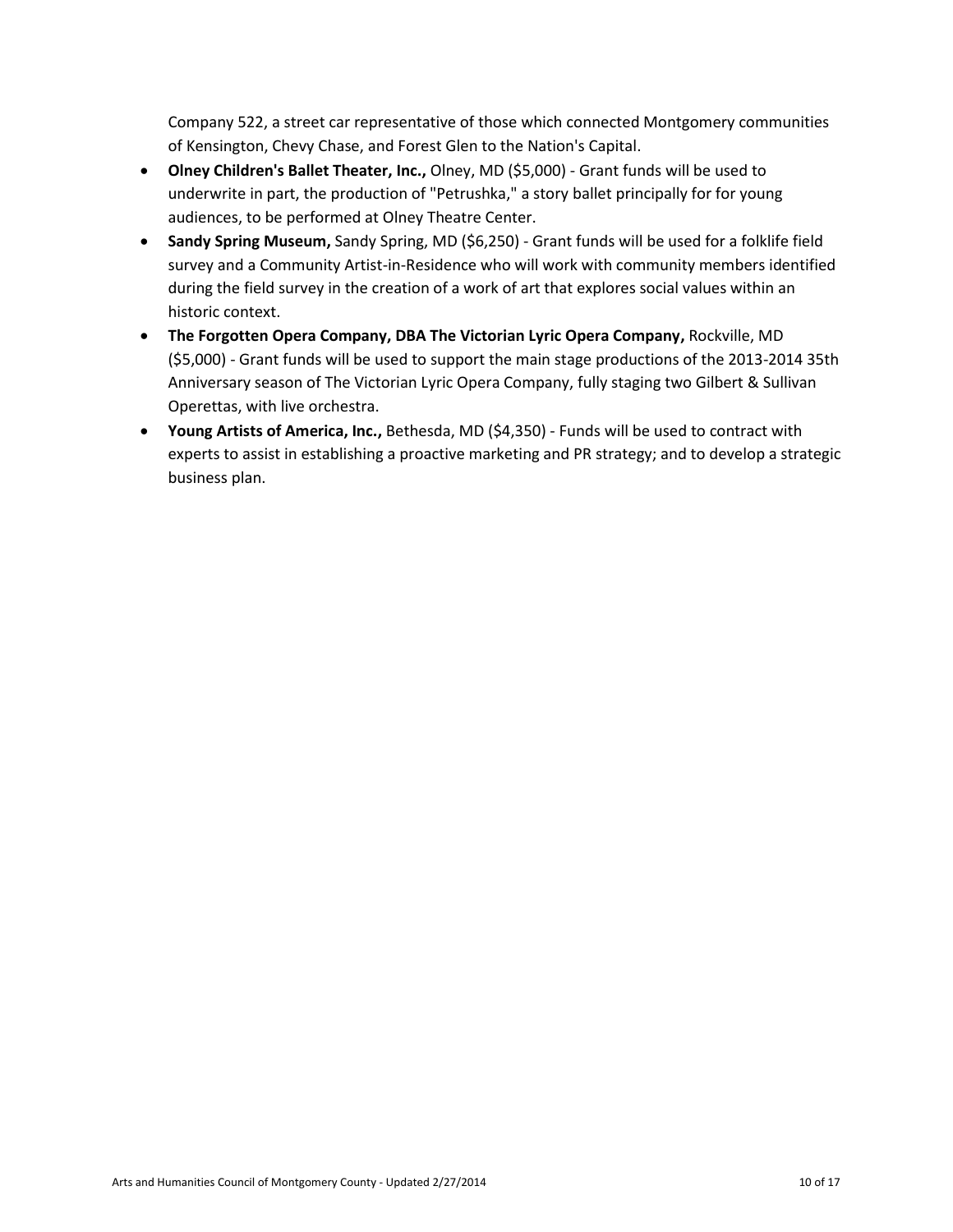Company 522, a street car representative of those which connected Montgomery communities of Kensington, Chevy Chase, and Forest Glen to the Nation's Capital.

- **Olney Children's Ballet Theater, Inc.,** Olney, MD (\$5,000) Grant funds will be used to underwrite in part, the production of "Petrushka," a story ballet principally for for young audiences, to be performed at Olney Theatre Center.
- **Sandy Spring Museum,** Sandy Spring, MD (\$6,250) Grant funds will be used for a folklife field survey and a Community Artist-in-Residence who will work with community members identified during the field survey in the creation of a work of art that explores social values within an historic context.
- **The Forgotten Opera Company, DBA The Victorian Lyric Opera Company,** Rockville, MD (\$5,000) - Grant funds will be used to support the main stage productions of the 2013-2014 35th Anniversary season of The Victorian Lyric Opera Company, fully staging two Gilbert & Sullivan Operettas, with live orchestra.
- **Young Artists of America, Inc.,** Bethesda, MD (\$4,350) Funds will be used to contract with experts to assist in establishing a proactive marketing and PR strategy; and to develop a strategic business plan.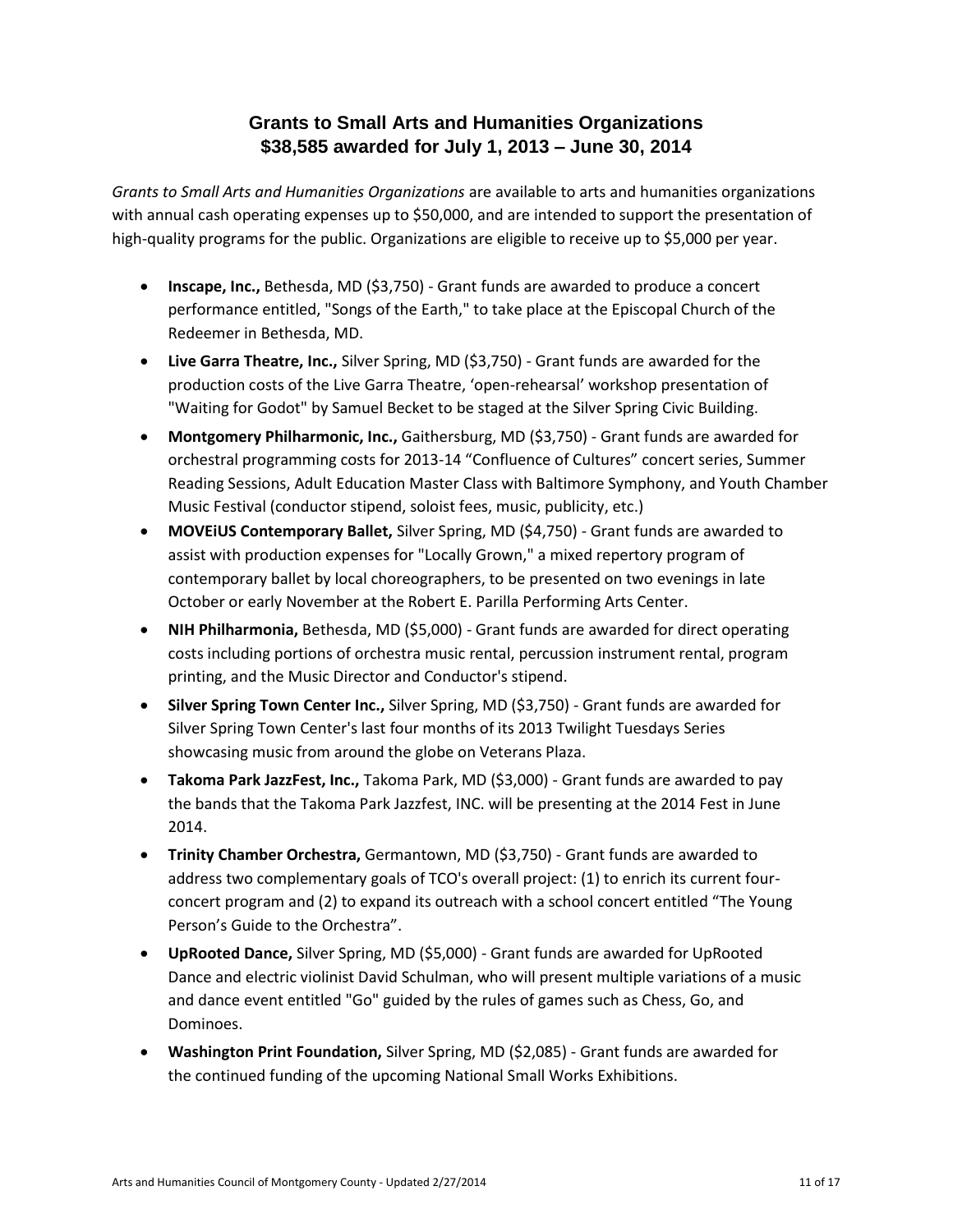## **Grants to Small Arts and Humanities Organizations \$38,585 awarded for July 1, 2013 – June 30, 2014**

*Grants to Small Arts and Humanities Organizations* are available to arts and humanities organizations with annual cash operating expenses up to \$50,000, and are intended to support the presentation of high-quality programs for the public. Organizations are eligible to receive up to \$5,000 per year.

- **Inscape, Inc.,** Bethesda, MD (\$3,750) Grant funds are awarded to produce a concert performance entitled, "Songs of the Earth," to take place at the Episcopal Church of the Redeemer in Bethesda, MD.
- **Live Garra Theatre, Inc.,** Silver Spring, MD (\$3,750) Grant funds are awarded for the production costs of the Live Garra Theatre, 'open-rehearsal' workshop presentation of "Waiting for Godot" by Samuel Becket to be staged at the Silver Spring Civic Building.
- **Montgomery Philharmonic, Inc.,** Gaithersburg, MD (\$3,750) Grant funds are awarded for orchestral programming costs for 2013-14 "Confluence of Cultures" concert series, Summer Reading Sessions, Adult Education Master Class with Baltimore Symphony, and Youth Chamber Music Festival (conductor stipend, soloist fees, music, publicity, etc.)
- **MOVEiUS Contemporary Ballet,** Silver Spring, MD (\$4,750) Grant funds are awarded to assist with production expenses for "Locally Grown," a mixed repertory program of contemporary ballet by local choreographers, to be presented on two evenings in late October or early November at the Robert E. Parilla Performing Arts Center.
- **NIH Philharmonia,** Bethesda, MD (\$5,000) Grant funds are awarded for direct operating costs including portions of orchestra music rental, percussion instrument rental, program printing, and the Music Director and Conductor's stipend.
- **Silver Spring Town Center Inc.,** Silver Spring, MD (\$3,750) Grant funds are awarded for Silver Spring Town Center's last four months of its 2013 Twilight Tuesdays Series showcasing music from around the globe on Veterans Plaza.
- **Takoma Park JazzFest, Inc.,** Takoma Park, MD (\$3,000) Grant funds are awarded to pay the bands that the Takoma Park Jazzfest, INC. will be presenting at the 2014 Fest in June 2014.
- **Trinity Chamber Orchestra,** Germantown, MD (\$3,750) Grant funds are awarded to address two complementary goals of TCO's overall project: (1) to enrich its current fourconcert program and (2) to expand its outreach with a school concert entitled "The Young Person's Guide to the Orchestra".
- **UpRooted Dance,** Silver Spring, MD (\$5,000) Grant funds are awarded for UpRooted Dance and electric violinist David Schulman, who will present multiple variations of a music and dance event entitled "Go" guided by the rules of games such as Chess, Go, and Dominoes.
- **Washington Print Foundation,** Silver Spring, MD (\$2,085) Grant funds are awarded for the continued funding of the upcoming National Small Works Exhibitions.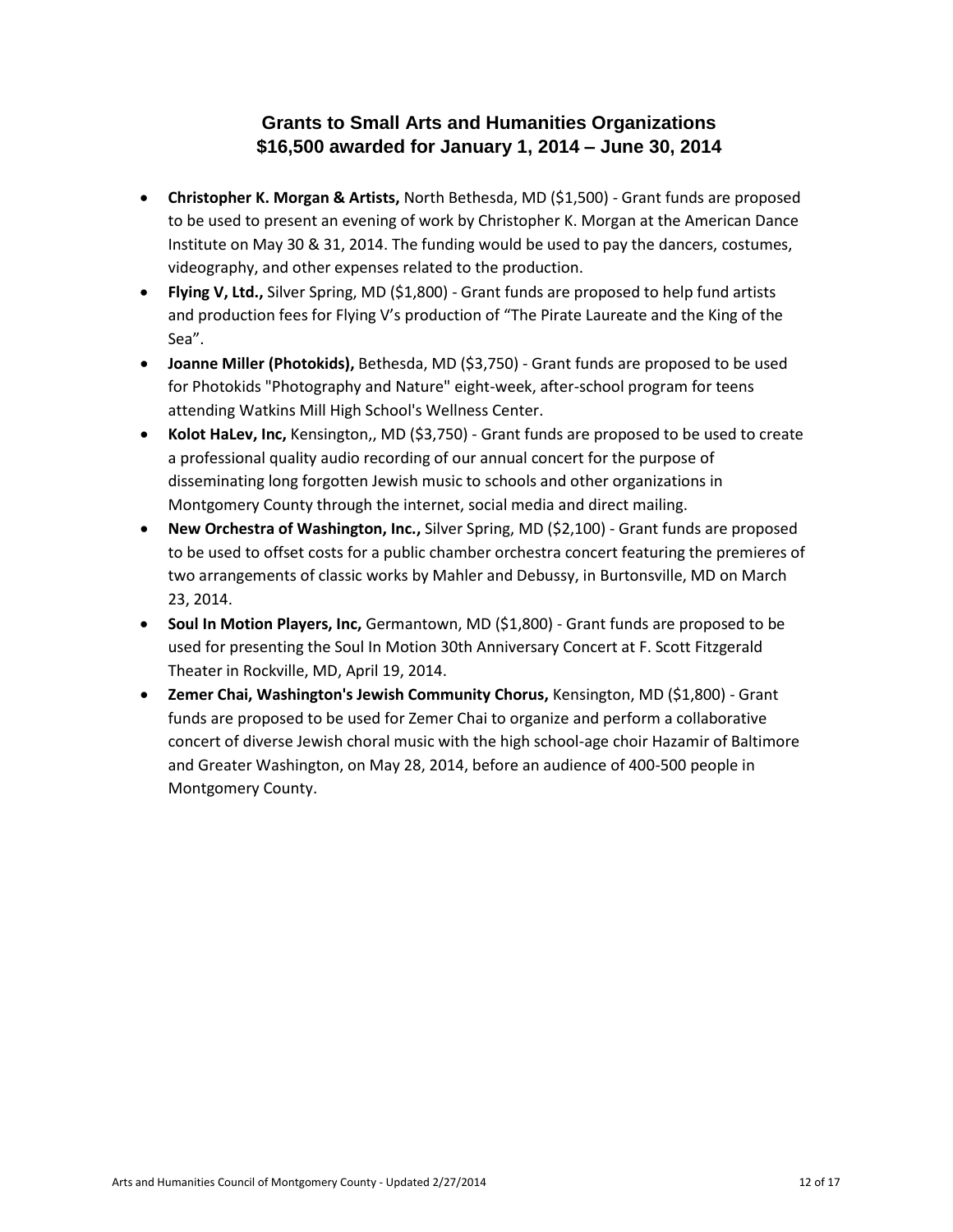#### **Grants to Small Arts and Humanities Organizations \$16,500 awarded for January 1, 2014 – June 30, 2014**

- **Christopher K. Morgan & Artists,** North Bethesda, MD (\$1,500) Grant funds are proposed to be used to present an evening of work by Christopher K. Morgan at the American Dance Institute on May 30 & 31, 2014. The funding would be used to pay the dancers, costumes, videography, and other expenses related to the production.
- **Flying V, Ltd.,** Silver Spring, MD (\$1,800) Grant funds are proposed to help fund artists and production fees for Flying V's production of "The Pirate Laureate and the King of the Sea".
- **Joanne Miller (Photokids),** Bethesda, MD (\$3,750) Grant funds are proposed to be used for Photokids "Photography and Nature" eight-week, after-school program for teens attending Watkins Mill High School's Wellness Center.
- **Kolot HaLev, Inc,** Kensington,, MD (\$3,750) Grant funds are proposed to be used to create a professional quality audio recording of our annual concert for the purpose of disseminating long forgotten Jewish music to schools and other organizations in Montgomery County through the internet, social media and direct mailing.
- **New Orchestra of Washington, Inc.,** Silver Spring, MD (\$2,100) Grant funds are proposed to be used to offset costs for a public chamber orchestra concert featuring the premieres of two arrangements of classic works by Mahler and Debussy, in Burtonsville, MD on March 23, 2014.
- **Soul In Motion Players, Inc,** Germantown, MD (\$1,800) Grant funds are proposed to be used for presenting the Soul In Motion 30th Anniversary Concert at F. Scott Fitzgerald Theater in Rockville, MD, April 19, 2014.
- **Zemer Chai, Washington's Jewish Community Chorus,** Kensington, MD (\$1,800) Grant funds are proposed to be used for Zemer Chai to organize and perform a collaborative concert of diverse Jewish choral music with the high school-age choir Hazamir of Baltimore and Greater Washington, on May 28, 2014, before an audience of 400-500 people in Montgomery County.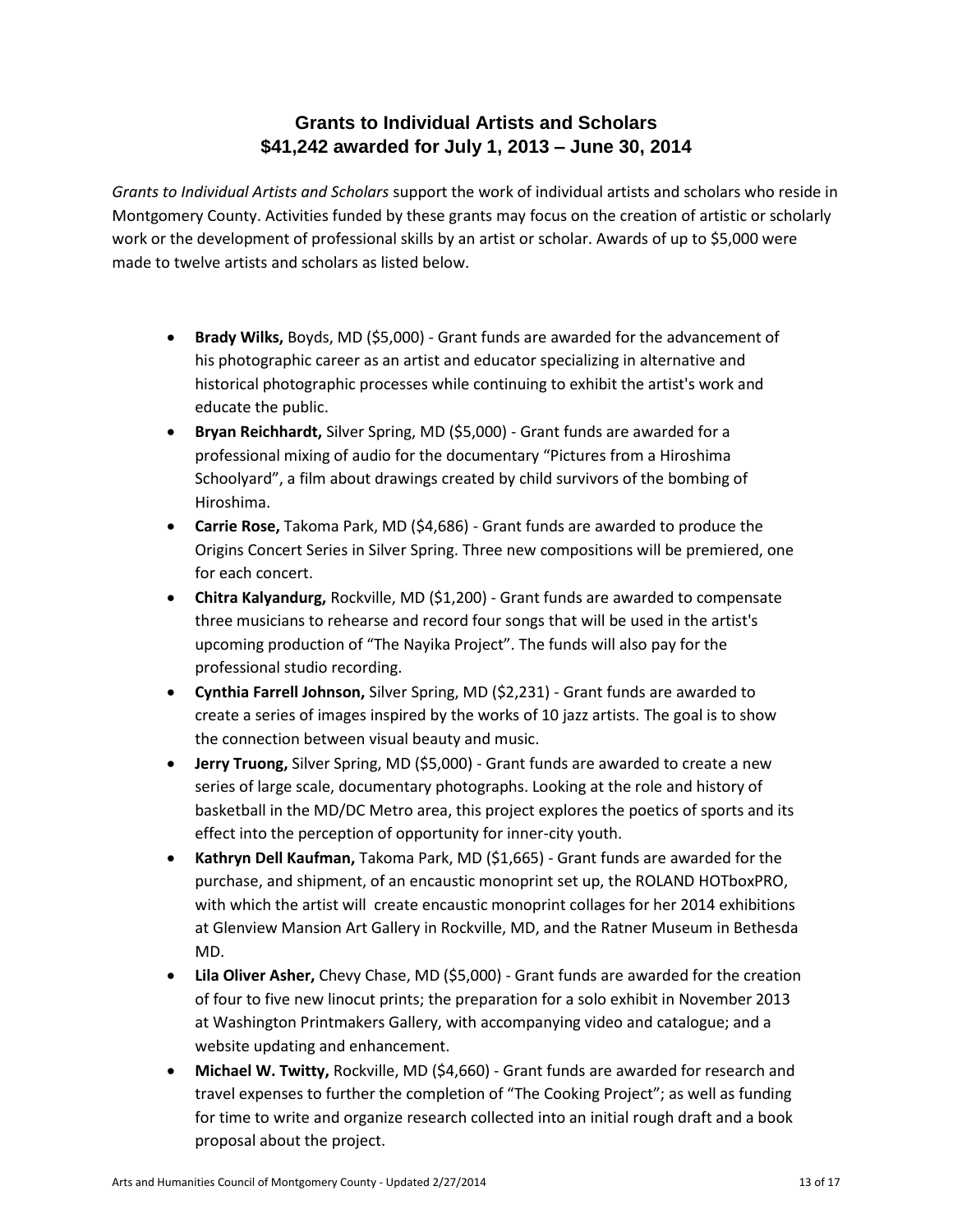## **Grants to Individual Artists and Scholars \$41,242 awarded for July 1, 2013 – June 30, 2014**

*Grants to Individual Artists and Scholars* support the work of individual artists and scholars who reside in Montgomery County. Activities funded by these grants may focus on the creation of artistic or scholarly work or the development of professional skills by an artist or scholar. Awards of up to \$5,000 were made to twelve artists and scholars as listed below.

- **Brady Wilks,** Boyds, MD (\$5,000) Grant funds are awarded for the advancement of his photographic career as an artist and educator specializing in alternative and historical photographic processes while continuing to exhibit the artist's work and educate the public.
- **Bryan Reichhardt,** Silver Spring, MD (\$5,000) Grant funds are awarded for a professional mixing of audio for the documentary "Pictures from a Hiroshima Schoolyard", a film about drawings created by child survivors of the bombing of Hiroshima.
- **Carrie Rose,** Takoma Park, MD (\$4,686) Grant funds are awarded to produce the Origins Concert Series in Silver Spring. Three new compositions will be premiered, one for each concert.
- **Chitra Kalyandurg,** Rockville, MD (\$1,200) Grant funds are awarded to compensate three musicians to rehearse and record four songs that will be used in the artist's upcoming production of "The Nayika Project". The funds will also pay for the professional studio recording.
- **Cynthia Farrell Johnson,** Silver Spring, MD (\$2,231) Grant funds are awarded to create a series of images inspired by the works of 10 jazz artists. The goal is to show the connection between visual beauty and music.
- **Jerry Truong,** Silver Spring, MD (\$5,000) Grant funds are awarded to create a new series of large scale, documentary photographs. Looking at the role and history of basketball in the MD/DC Metro area, this project explores the poetics of sports and its effect into the perception of opportunity for inner-city youth.
- **Kathryn Dell Kaufman,** Takoma Park, MD (\$1,665) Grant funds are awarded for the purchase, and shipment, of an encaustic monoprint set up, the ROLAND HOTboxPRO, with which the artist will create encaustic monoprint collages for her 2014 exhibitions at Glenview Mansion Art Gallery in Rockville, MD, and the Ratner Museum in Bethesda MD.
- **Lila Oliver Asher,** Chevy Chase, MD (\$5,000) Grant funds are awarded for the creation of four to five new linocut prints; the preparation for a solo exhibit in November 2013 at Washington Printmakers Gallery, with accompanying video and catalogue; and a website updating and enhancement.
- **Michael W. Twitty,** Rockville, MD (\$4,660) Grant funds are awarded for research and travel expenses to further the completion of "The Cooking Project"; as well as funding for time to write and organize research collected into an initial rough draft and a book proposal about the project.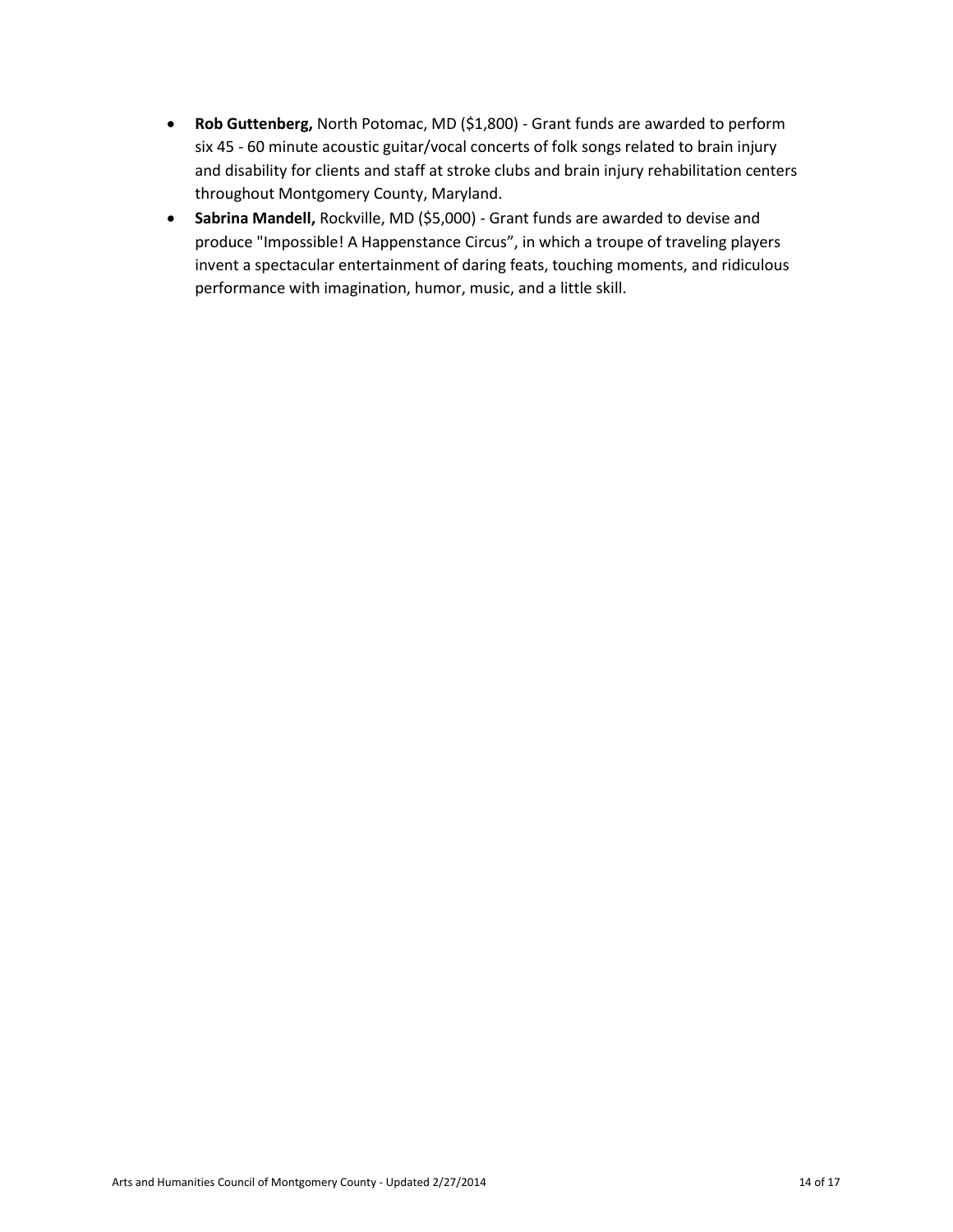- **Rob Guttenberg,** North Potomac, MD (\$1,800) Grant funds are awarded to perform six 45 - 60 minute acoustic guitar/vocal concerts of folk songs related to brain injury and disability for clients and staff at stroke clubs and brain injury rehabilitation centers throughout Montgomery County, Maryland.
- **Sabrina Mandell,** Rockville, MD (\$5,000) Grant funds are awarded to devise and produce "Impossible! A Happenstance Circus", in which a troupe of traveling players invent a spectacular entertainment of daring feats, touching moments, and ridiculous performance with imagination, humor, music, and a little skill.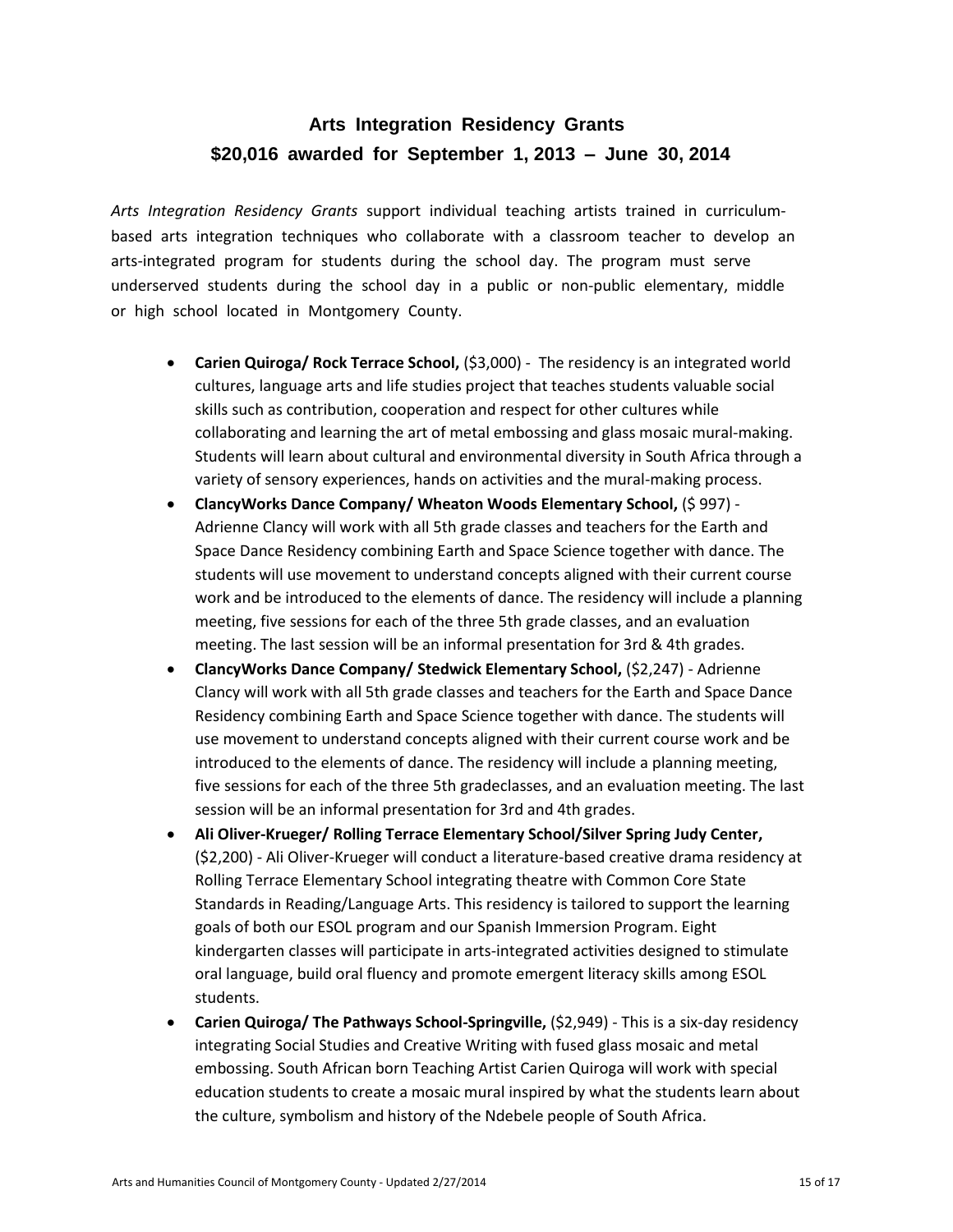# **Arts Integration Residency Grants \$20,016 awarded for September 1, 2013 – June 30, 2014**

*Arts Integration Residency Grants* support individual teaching artists trained in curriculum‐ based arts integration techniques who collaborate with a classroom teacher to develop an arts‐integrated program for students during the school day. The program must serve underserved students during the school day in a public or non‐public elementary, middle or high school located in Montgomery County.

- **Carien Quiroga/ Rock Terrace School, (\$3,000) The residency is an integrated world** cultures, language arts and life studies project that teaches students valuable social skills such as contribution, cooperation and respect for other cultures while collaborating and learning the art of metal embossing and glass mosaic mural-making. Students will learn about cultural and environmental diversity in South Africa through a variety of sensory experiences, hands on activities and the mural-making process.
- **ClancyWorks Dance Company/ Wheaton Woods Elementary School,** (\$ 997) Adrienne Clancy will work with all 5th grade classes and teachers for the Earth and Space Dance Residency combining Earth and Space Science together with dance. The students will use movement to understand concepts aligned with their current course work and be introduced to the elements of dance. The residency will include a planning meeting, five sessions for each of the three 5th grade classes, and an evaluation meeting. The last session will be an informal presentation for 3rd & 4th grades.
- **ClancyWorks Dance Company/ Stedwick Elementary School,** (\$2,247) Adrienne Clancy will work with all 5th grade classes and teachers for the Earth and Space Dance Residency combining Earth and Space Science together with dance. The students will use movement to understand concepts aligned with their current course work and be introduced to the elements of dance. The residency will include a planning meeting, five sessions for each of the three 5th gradeclasses, and an evaluation meeting. The last session will be an informal presentation for 3rd and 4th grades.
- **Ali Oliver-Krueger/ Rolling Terrace Elementary School/Silver Spring Judy Center,**  (\$2,200) - Ali Oliver-Krueger will conduct a literature-based creative drama residency at Rolling Terrace Elementary School integrating theatre with Common Core State Standards in Reading/Language Arts. This residency is tailored to support the learning goals of both our ESOL program and our Spanish Immersion Program. Eight kindergarten classes will participate in arts-integrated activities designed to stimulate oral language, build oral fluency and promote emergent literacy skills among ESOL students.
- **Carien Quiroga/ The Pathways School-Springville, (\$2,949) This is a six-day residency** integrating Social Studies and Creative Writing with fused glass mosaic and metal embossing. South African born Teaching Artist Carien Quiroga will work with special education students to create a mosaic mural inspired by what the students learn about the culture, symbolism and history of the Ndebele people of South Africa.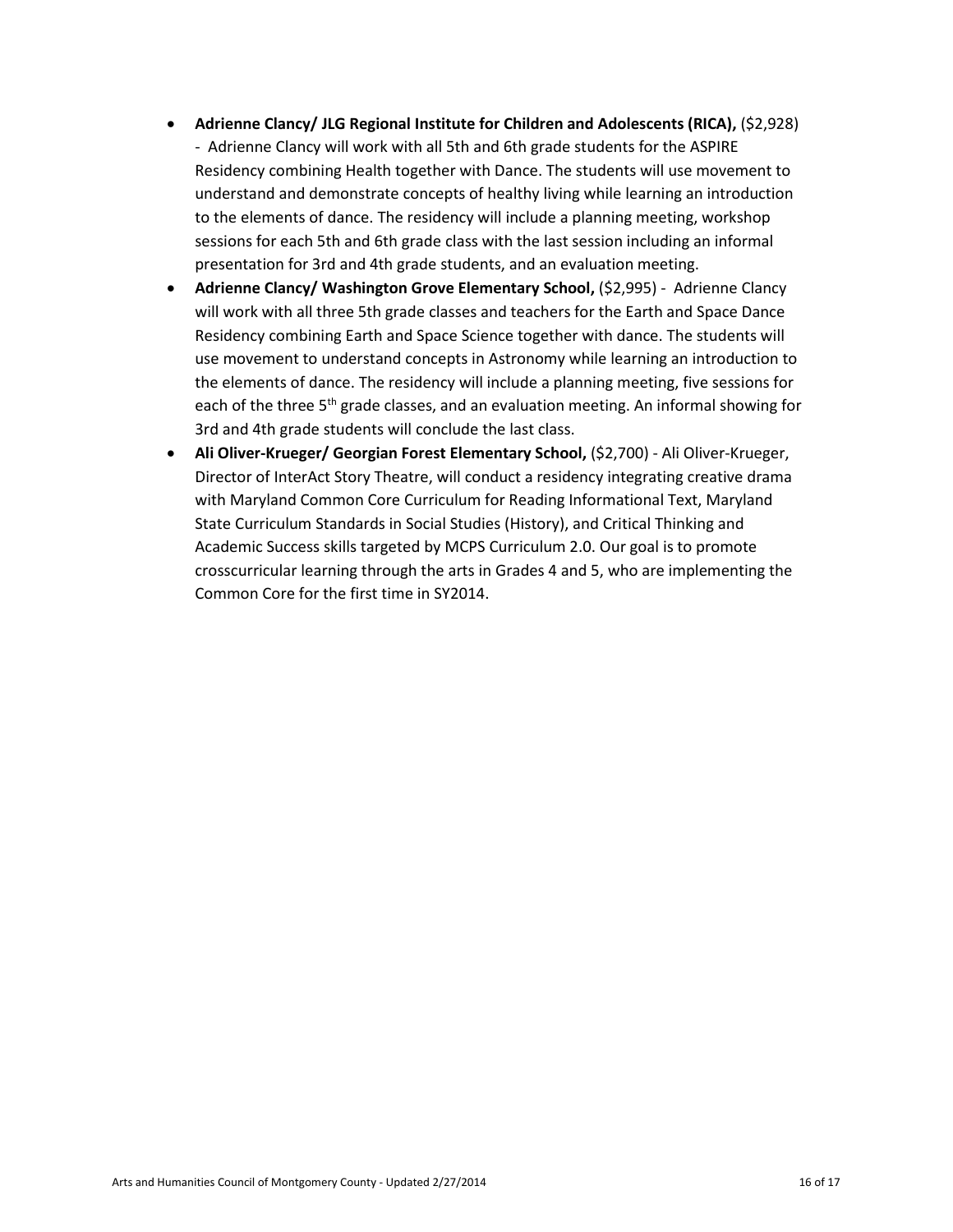- **Adrienne Clancy/ JLG Regional Institute for Children and Adolescents (RICA),** (\$2,928) - Adrienne Clancy will work with all 5th and 6th grade students for the ASPIRE Residency combining Health together with Dance. The students will use movement to understand and demonstrate concepts of healthy living while learning an introduction to the elements of dance. The residency will include a planning meeting, workshop sessions for each 5th and 6th grade class with the last session including an informal presentation for 3rd and 4th grade students, and an evaluation meeting.
- **Adrienne Clancy/ Washington Grove Elementary School, (\$2,995) Adrienne Clancy** will work with all three 5th grade classes and teachers for the Earth and Space Dance Residency combining Earth and Space Science together with dance. The students will use movement to understand concepts in Astronomy while learning an introduction to the elements of dance. The residency will include a planning meeting, five sessions for each of the three  $5<sup>th</sup>$  grade classes, and an evaluation meeting. An informal showing for 3rd and 4th grade students will conclude the last class.
- **Ali Oliver-Krueger/ Georgian Forest Elementary School, (\$2,700) Ali Oliver-Krueger,** Director of InterAct Story Theatre, will conduct a residency integrating creative drama with Maryland Common Core Curriculum for Reading Informational Text, Maryland State Curriculum Standards in Social Studies (History), and Critical Thinking and Academic Success skills targeted by MCPS Curriculum 2.0. Our goal is to promote crosscurricular learning through the arts in Grades 4 and 5, who are implementing the Common Core for the first time in SY2014.